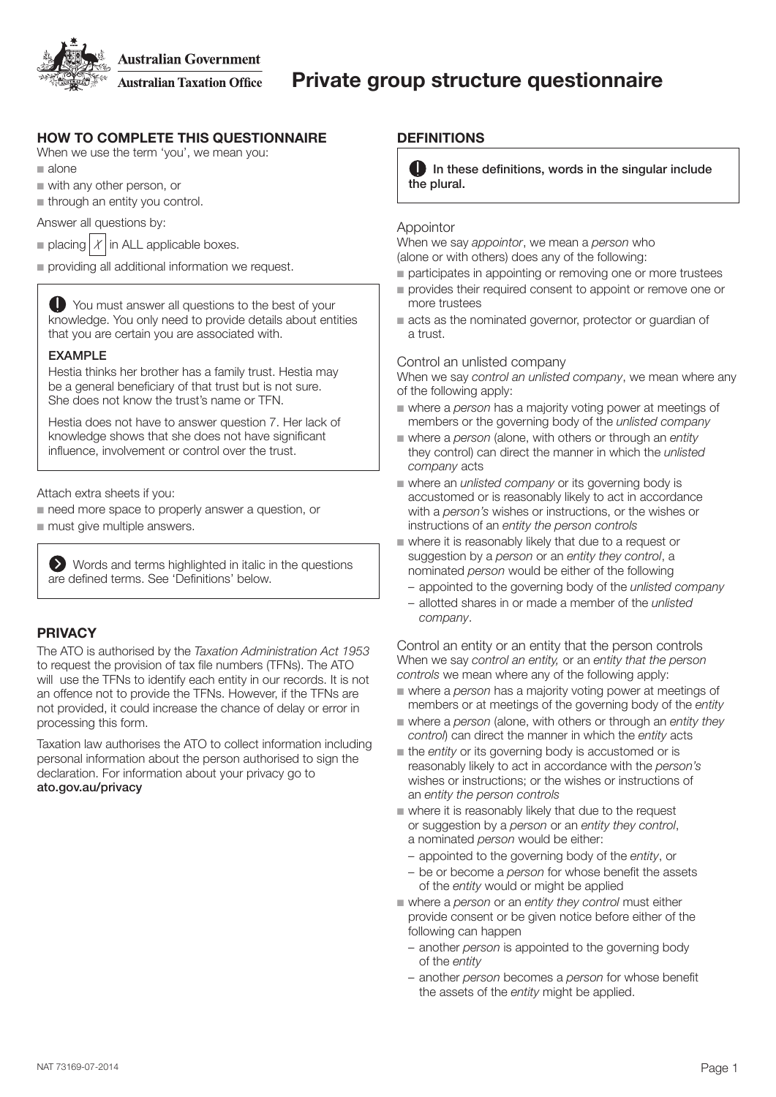**Australian Government** 

**Australian Taxation Office** 

# HOW TO COMPLETE THIS QUESTIONNAIRE

When we use the term 'you', we mean you:

- $a$  alone
- $\blacksquare$  with any other person, or
- $\blacksquare$  through an entity you control.

Answer all questions by:

- placing  $|X|$  in ALL applicable boxes.
- $\blacksquare$  providing all additional information we request.

You must answer all questions to the best of your knowledge. You only need to provide details about entities that you are certain you are associated with.

#### EXAMPLE

Hestia thinks her brother has a family trust. Hestia may be a general beneficiary of that trust but is not sure. She does not know the trust's name or TFN.

Hestia does not have to answer question 7. Her lack of knowledge shows that she does not have significant influence, involvement or control over the trust.

Attach extra sheets if you:

 $\blacksquare$  need more space to properly answer a question, or  $\blacksquare$  must give multiple answers.

Words and terms highlighted in italic in the questions are defined terms. See 'Definitions' below.

### PRIVACY

The ATO is authorised by the *Taxation Administration Act 1953*  to request the provision of tax file numbers (TFNs). The ATO will use the TFNs to identify each entity in our records. It is not an offence not to provide the TFNs. However, if the TFNs are not provided, it could increase the chance of delay or error in processing this form.

Taxation law authorises the ATO to collect information including personal information about the person authorised to sign the declaration. For information about your privacy go to ato.gov.au/privacy

#### **DEFINITIONS**

 $\Box$  In these definitions, words in the singular include the plural.

#### Appointor

When we say *appointor*, we mean a *person* who (alone or with others) does any of the following:

- n participates in appointing or removing one or more trustees
- n provides their required consent to appoint or remove one or more trustees
- $\blacksquare$  acts as the nominated governor, protector or guardian of a trust.

#### Control an unlisted company

When we say *control an unlisted company*, we mean where any of the following apply:

- **n** where a *person* has a majority voting power at meetings of members or the governing body of the *unlisted company*
- **n** where a *person* (alone, with others or through an *entity* they control) can direct the manner in which the *unlisted company* acts
- where an *unlisted company* or its governing body is accustomed or is reasonably likely to act in accordance with a *person's* wishes or instructions, or the wishes or instructions of an *entity the person controls*
- where it is reasonably likely that due to a request or suggestion by a *person* or an *entity they control*, a nominated *person* would be either of the following
	- appointed to the governing body of the *unlisted company*
	- allotted shares in or made a member of the *unlisted company*.

Control an entity or an entity that the person controls When we say *control an entity,* or an *entity that the person controls* we mean where any of the following apply:

- where a *person* has a majority voting power at meetings of members or at meetings of the governing body of the *entity*
- n where a *person* (alone, with others or through an *entity they control*) can direct the manner in which the *entity* acts
- n the *entity* or its governing body is accustomed or is reasonably likely to act in accordance with the *person's*  wishes or instructions; or the wishes or instructions of an *entity the person controls*
- $\blacksquare$  where it is reasonably likely that due to the request or suggestion by a *person* or an *entity they control*, a nominated *person* would be either:
	- appointed to the governing body of the *entity*, or
	- be or become a *person* for whose benefit the assets of the *entity* would or might be applied
- where a *person* or an *entity they control* must either provide consent or be given notice before either of the following can happen
	- another *person* is appointed to the governing body of the *entity*
	- another *person* becomes a *person* for whose benefit the assets of the *entity* might be applied.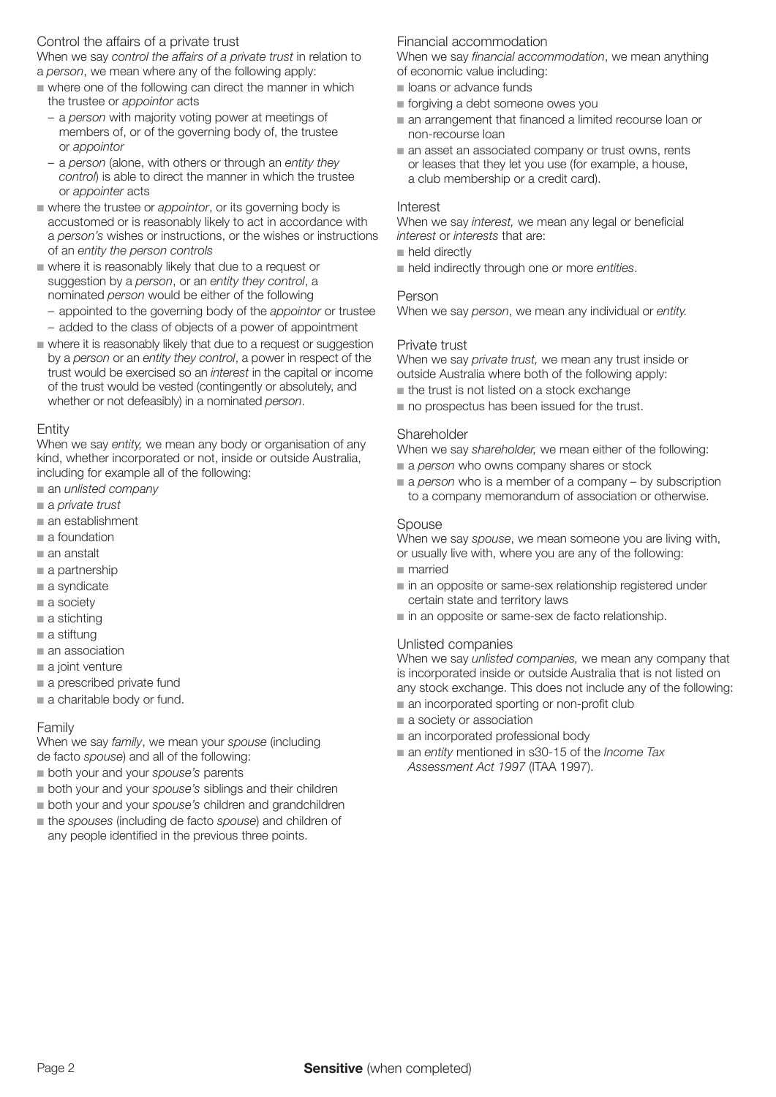#### Control the affairs of a private trust

When we say *control the affairs of a private trust* in relation to a *person*, we mean where any of the following apply:

- $\blacksquare$  where one of the following can direct the manner in which the trustee or *appointor* acts
	- a *person* with majority voting power at meetings of members of, or of the governing body of, the trustee or *appointor*
	- a *person* (alone, with others or through an *entity they control*) is able to direct the manner in which the trustee or *appointer* acts
- $\blacksquare$  where the trustee or *appointor*, or its governing body is accustomed or is reasonably likely to act in accordance with a *person's* wishes or instructions, or the wishes or instructions of an *entity the person controls*
- $\blacksquare$  where it is reasonably likely that due to a request or suggestion by a *person*, or an *entity they control*, a nominated *person* would be either of the following
- appointed to the governing body of the *appointor* or trustee – added to the class of objects of a power of appointment
- n where it is reasonably likely that due to a request or suggestion by a *person* or an *entity they control*, a power in respect of the trust would be exercised so an *interest* in the capital or income of the trust would be vested (contingently or absolutely, and whether or not defeasibly) in a nominated *person*.

#### Entity

When we say *entity,* we mean any body or organisation of any kind, whether incorporated or not, inside or outside Australia, including for example all of the following:

- $\blacksquare$  an *unlisted company*
- a *private trust*
- $\blacksquare$  an establishment
- $a$  foundation
- $\blacksquare$  an anstalt
- $a$  partnership
- $a$  syndicate
- $a$  society
- $\blacksquare$  a stichting
- $\blacksquare$  a stiftung  $\blacksquare$  an association
- 
- $\blacksquare$  a joint venture
- $\blacksquare$  a prescribed private fund
- $\blacksquare$  a charitable body or fund.

#### Family

When we say *family*, we mean your *spouse* (including de facto *spouse*) and all of the following:

- **n** both your and your *spouse's* parents
- $\blacksquare$  both your and your *spouse's* siblings and their children
- $\blacksquare$  both your and your *spouse's* children and grandchildren
- $\blacksquare$  the *spouses* (including de facto *spouse*) and children of any people identified in the previous three points.

#### Financial accommodation

When we say *financial accommodation*, we mean anything of economic value including:

- loans or advance funds
- forgiving a debt someone owes you
- $\blacksquare$  an arrangement that financed a limited recourse loan or non-recourse loan
- $\blacksquare$  an asset an associated company or trust owns, rents or leases that they let you use (for example, a house, a club membership or a credit card).

#### Interest

When we say *interest,* we mean any legal or beneficial *interest* or *interests* that are:

- $\blacksquare$  held directly
- $\blacksquare$  held indirectly through one or more *entities*.

#### Person

When we say *person*, we mean any individual or *entity.*

#### Private trust

When we say *private trust,* we mean any trust inside or outside Australia where both of the following apply:

- $\blacksquare$  the trust is not listed on a stock exchange
- $\blacksquare$  no prospectus has been issued for the trust.

#### **Shareholder**

When we say *shareholder,* we mean either of the following:

- a *person* who owns company shares or stock
- a *person* who is a member of a company by subscription to a company memorandum of association or otherwise.

#### **Spouse**

When we say *spouse*, we mean someone you are living with, or usually live with, where you are any of the following: n married

- $\blacksquare$  in an opposite or same-sex relationship registered under certain state and territory laws
- $\blacksquare$  in an opposite or same-sex de facto relationship.

#### Unlisted companies

When we say *unlisted companies,* we mean any company that is incorporated inside or outside Australia that is not listed on any stock exchange. This does not include any of the following:

- $\blacksquare$  an incorporated sporting or non-profit club
- $\blacksquare$  a society or association
- $\blacksquare$  an incorporated professional body
- an *entity* mentioned in s30-15 of the *Income Tax* Assessment Act 1997 (ITAA 1997).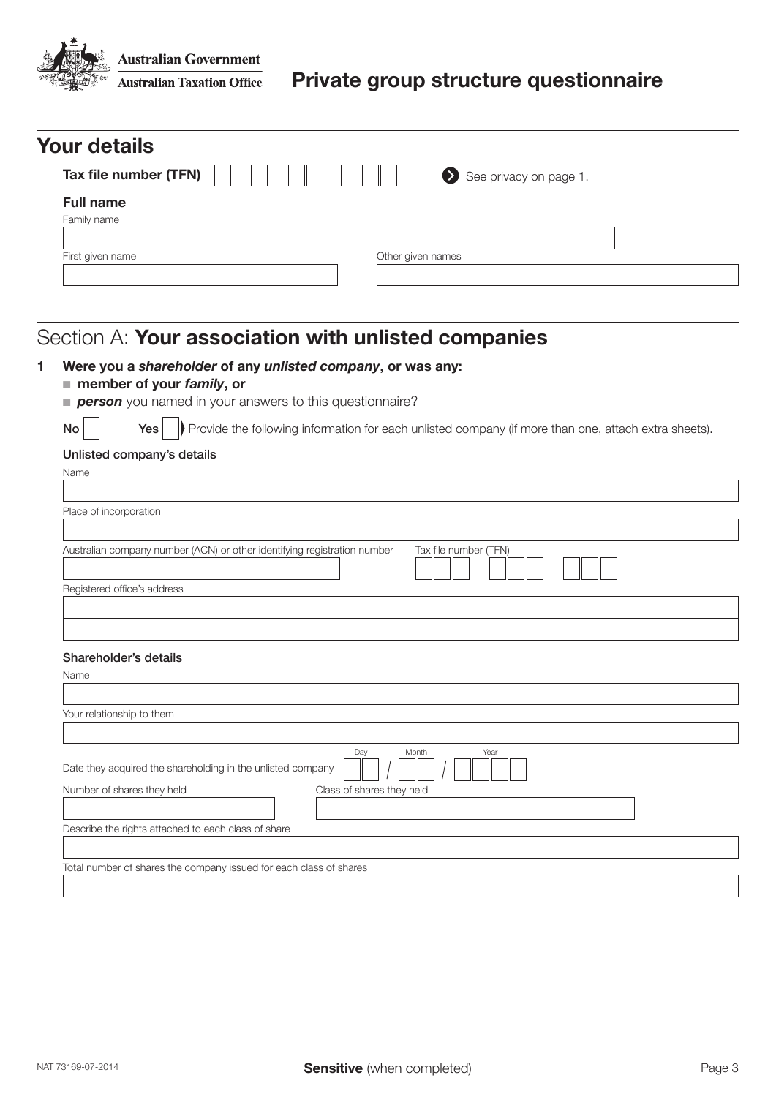**Australian Government Australian Taxation Office** 

| <b>Your details</b>   |  |                   |                        |
|-----------------------|--|-------------------|------------------------|
| Tax file number (TFN) |  |                   | See privacy on page 1. |
| <b>Full name</b>      |  |                   |                        |
| Family name           |  |                   |                        |
| First given name      |  | Other given names |                        |
|                       |  |                   |                        |

# Section A: Your association with unlisted companies

#### 1 Were you a *shareholder* of any *unlisted company*, or was any:

■ member of your *family*, or

**person** you named in your answers to this questionnaire?

 $\text{Yes}$  Provide the following information for each unlisted company (if more than one, attach extra sheets).

#### Unlisted company's details

| Name                                                                                              |
|---------------------------------------------------------------------------------------------------|
|                                                                                                   |
| Place of incorporation                                                                            |
| Australian company number (ACN) or other identifying registration number<br>Tax file number (TFN) |
| Registered office's address                                                                       |
|                                                                                                   |
| Shareholder's details                                                                             |
| Name                                                                                              |
|                                                                                                   |
| Your relationship to them                                                                         |
|                                                                                                   |
| Day<br>Month<br>Year<br>Date they acquired the shareholding in the unlisted company               |
| Class of shares they held<br>Number of shares they held                                           |
|                                                                                                   |
| Describe the rights attached to each class of share                                               |
|                                                                                                   |
| Total number of shares the company issued for each class of shares                                |
|                                                                                                   |
|                                                                                                   |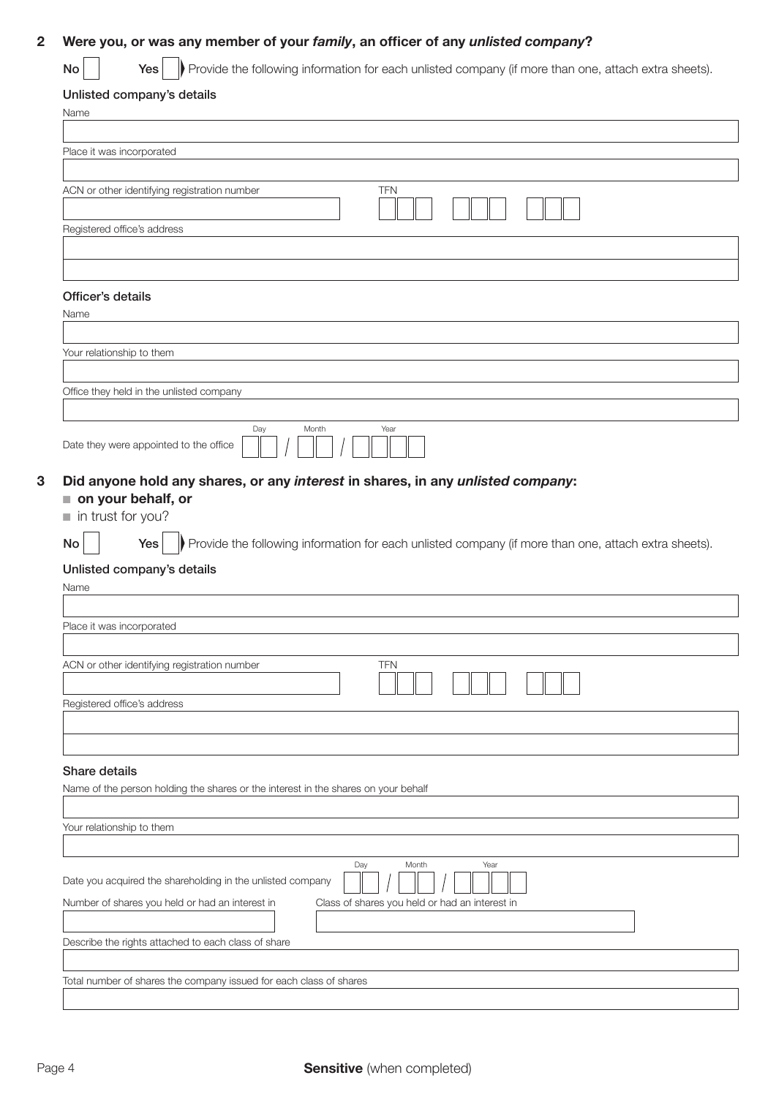### 2 Were you, or was any member of your *family*, an officer of any *unlisted company*?

 $No$   $\Box$  Yes Provide the following information for each unlisted company (if more than one, attach extra sheets).

#### Unlisted company's details

| Name                                                                                                              |  |
|-------------------------------------------------------------------------------------------------------------------|--|
|                                                                                                                   |  |
| Place it was incorporated                                                                                         |  |
| ACN or other identifying registration number<br><b>TFN</b>                                                        |  |
| Registered office's address                                                                                       |  |
|                                                                                                                   |  |
|                                                                                                                   |  |
| Officer's details                                                                                                 |  |
| Name                                                                                                              |  |
|                                                                                                                   |  |
| Your relationship to them                                                                                         |  |
| Office they held in the unlisted company                                                                          |  |
|                                                                                                                   |  |
| Day<br>Month<br>Year<br>Date they were appointed to the office                                                    |  |
|                                                                                                                   |  |
| Did anyone hold any shares, or any interest in shares, in any unlisted company:                                   |  |
| on your behalf, or<br>in trust for you?                                                                           |  |
|                                                                                                                   |  |
| Provide the following information for each unlisted company (if more than one, attach extra sheets).<br>Yes<br>No |  |
| Unlisted company's details                                                                                        |  |
| Name                                                                                                              |  |
| Place it was incorporated                                                                                         |  |
|                                                                                                                   |  |
| ACN or other identifying registration number<br><b>TFN</b><br>لـــالـ                                             |  |
| Registered office's address                                                                                       |  |
|                                                                                                                   |  |
|                                                                                                                   |  |
| Share details                                                                                                     |  |
| Name of the person holding the shares or the interest in the shares on your behalf                                |  |
| Your relationship to them                                                                                         |  |
|                                                                                                                   |  |
| Day<br>Month<br>Year                                                                                              |  |
| Date you acquired the shareholding in the unlisted company                                                        |  |
| Number of shares you held or had an interest in<br>Class of shares you held or had an interest in                 |  |
| Describe the rights attached to each class of share                                                               |  |
|                                                                                                                   |  |
|                                                                                                                   |  |
| Total number of shares the company issued for each class of shares                                                |  |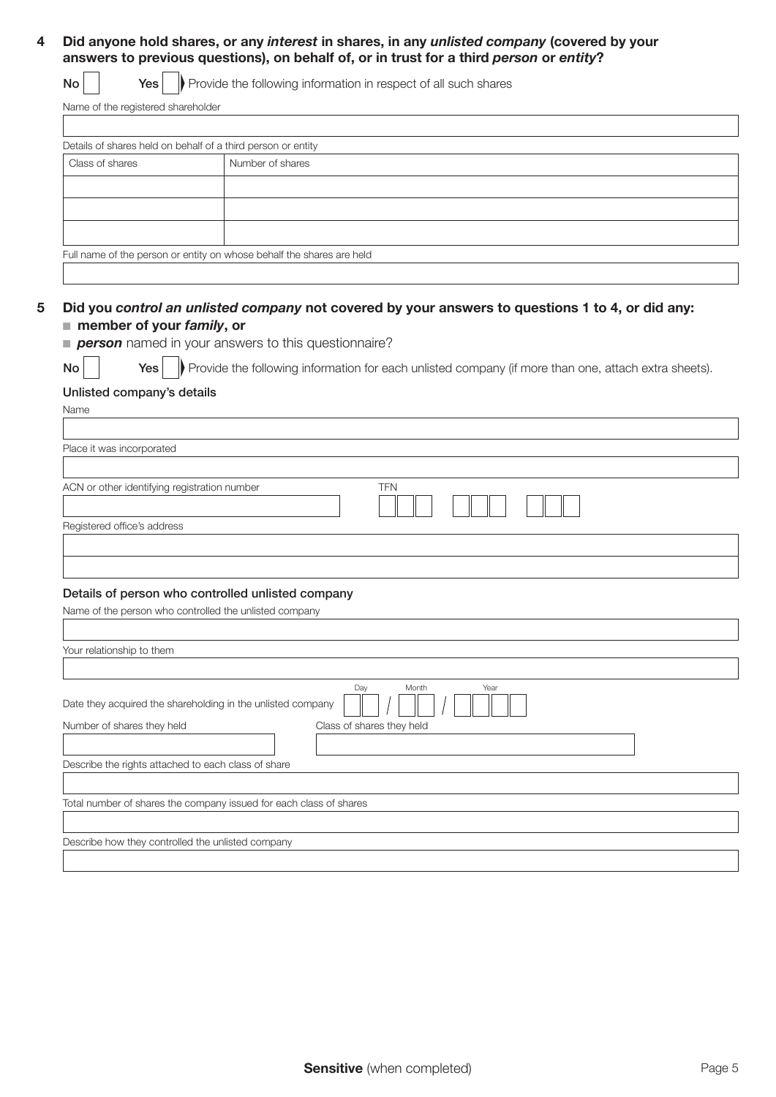#### 4 Did anyone hold shares, or any *interest* in shares, in any *unlisted company* (covered by your answers to previous questions), on behalf of, or in trust for a third *person* or *entity*?

 $\mathsf{No}$   $\vert$  Yes  $\vert$  Provide the following information in respect of all such shares

Name of the registered shareholder

| Details of shares held on behalf of a third person or entity |                                                                       |
|--------------------------------------------------------------|-----------------------------------------------------------------------|
| Class of shares                                              | Number of shares                                                      |
|                                                              |                                                                       |
|                                                              |                                                                       |
|                                                              |                                                                       |
|                                                              | Full name of the person or entity on whose behalf the shares are held |
|                                                              |                                                                       |

#### 5 Did you *control an unlisted company* not covered by your answers to questions 1 to 4, or did any: ■ member of your *family*, or

**person** named in your answers to this questionnaire?

| v |
|---|

 $\mathsf{No}$   $\vert$   $\vert$   $\mathsf{Yes} \vert$   $\vert$  Provide the following information for each unlisted company (if more than one, attach extra sheets).

#### Unlisted company's details

Name Place it was incorporated ACN or other identifying registration number TFN Registered office's address

#### Details of person who controlled unlisted company

| Name of the person who controlled the unlisted company                              |
|-------------------------------------------------------------------------------------|
|                                                                                     |
| Your relationship to them                                                           |
|                                                                                     |
| Day<br>Month<br>Year<br>Date they acquired the shareholding in the unlisted company |
| Number of shares they held<br>Class of shares they held                             |
| Describe the rights attached to each class of share                                 |
| Total number of shares the company issued for each class of shares                  |
| Describe how they controlled the unlisted company                                   |
|                                                                                     |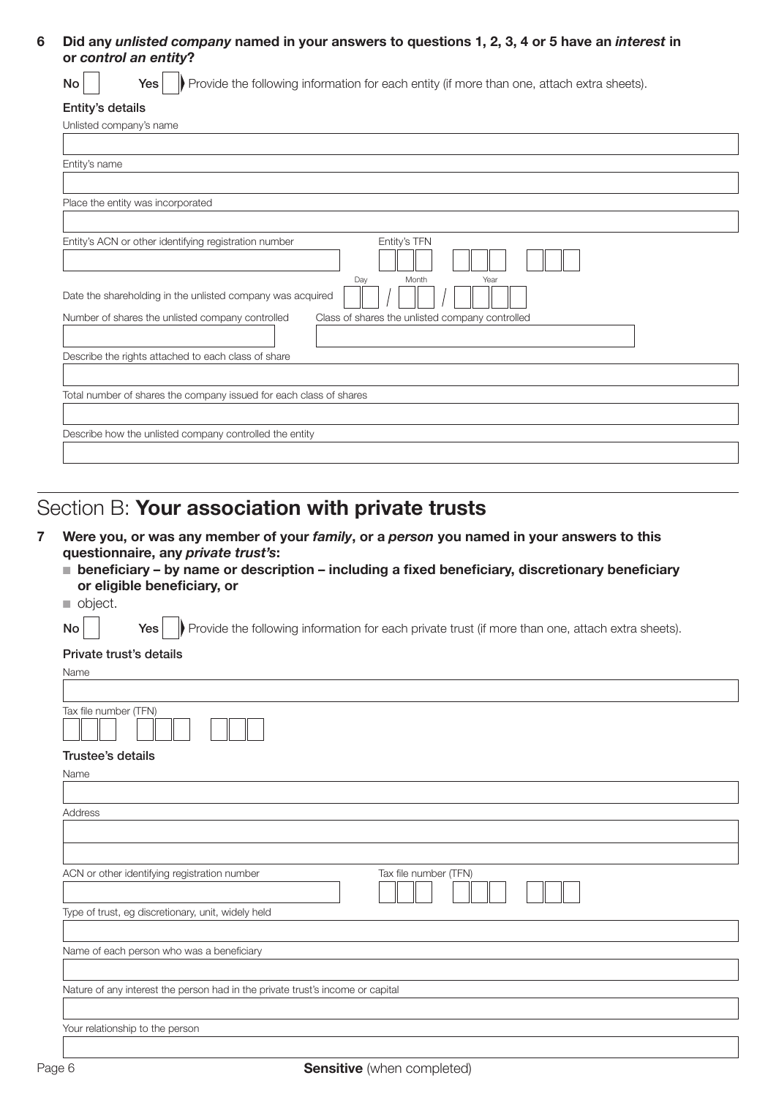#### 6 Did any *unlisted company* named in your answers to questions 1, 2, 3, 4 or 5 have an *interest* in or control an entity?

 $\mathsf{No}$  |  $\mathsf{Yes}$  |  $\mathsf{Provide}$  the following information for each entity (if more than one, attach extra sheets).

### Entity's details

# Section B: Your association with private trusts

- 7 Were you, or was any member of your *family*, or a *person* you named in your answers to this questionnaire, any *private trust's*:
	- $\blacksquare$  beneficiary by name or description including a fixed beneficiary, discretionary beneficiary or eligible beneficiary, or

object.

 $\mathsf{No}$   $\vert$   $\mathsf{Yes} \vert$  Provide the following information for each private trust (if more than one, attach extra sheets).

#### Private trust's details

| Name                                                                           |
|--------------------------------------------------------------------------------|
|                                                                                |
| Tax file number (TFN)                                                          |
| Trustee's details                                                              |
| Name                                                                           |
|                                                                                |
| Address                                                                        |
|                                                                                |
|                                                                                |
| ACN or other identifying registration number<br>Tax file number (TFN)          |
| Type of trust, eg discretionary, unit, widely held                             |
|                                                                                |
| Name of each person who was a beneficiary                                      |
|                                                                                |
| Nature of any interest the person had in the private trust's income or capital |
|                                                                                |
| Your relationship to the person                                                |
|                                                                                |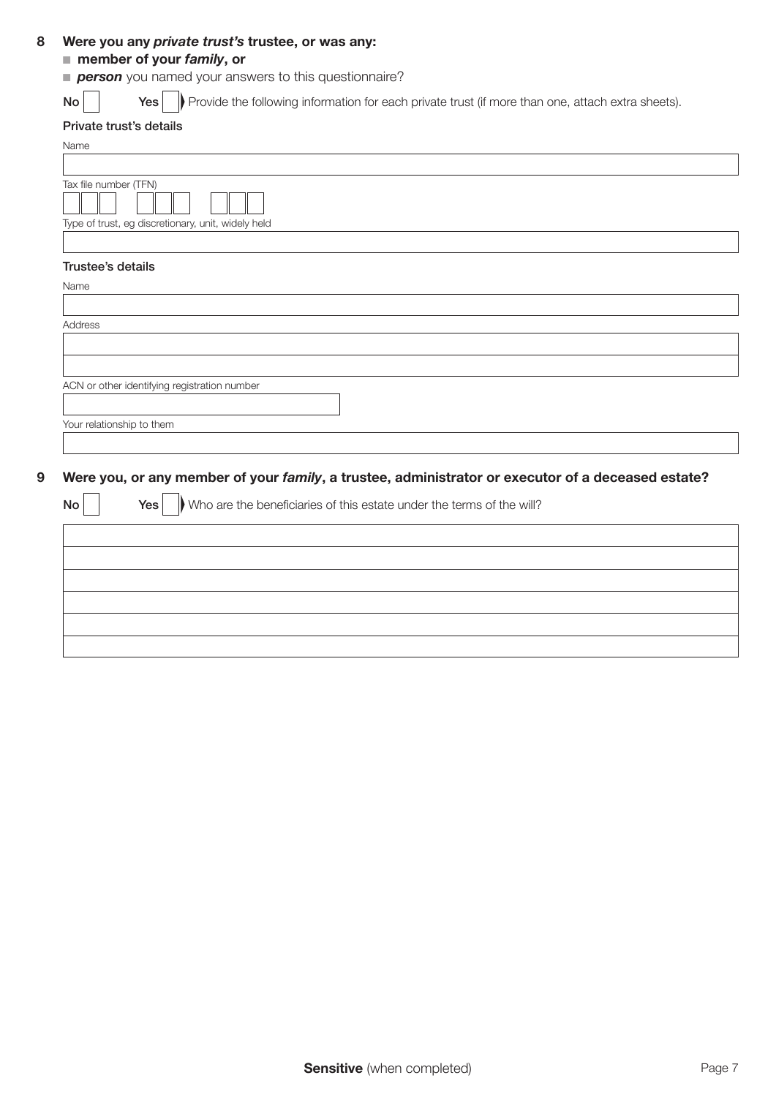#### 8 Were you any *private trust's* trustee, or was any:

### ■ member of your *family*, or

**person** you named your answers to this questionnaire?

 $\mathsf{No}$   $\vert$   $\vert$   $\mathsf{Yes} \vert$   $\vert$  Provide the following information for each private trust (if more than one, attach extra sheets).

#### Private trust's details

| Name                                               |
|----------------------------------------------------|
|                                                    |
| Tax file number (TFN)                              |
|                                                    |
| Type of trust, eg discretionary, unit, widely held |
|                                                    |
| Trustee's details                                  |
| Name                                               |
|                                                    |
| Address                                            |

| ACN or other identifying registration number |  |
|----------------------------------------------|--|
|                                              |  |
| Your relationship to them                    |  |

### 9 Were you, or any member of your *family*, a trustee, administrator or executor of a deceased estate?

 $N \cap$  Yes Who are the beneficiaries of this estate under the terms of the will?

| IVU | $\frac{1}{16}$ $\frac{1}{16}$ visito are the beneficiaties of this estate drider the terms of the will? |
|-----|---------------------------------------------------------------------------------------------------------|
|     |                                                                                                         |
|     |                                                                                                         |
|     |                                                                                                         |
|     |                                                                                                         |
|     |                                                                                                         |
|     |                                                                                                         |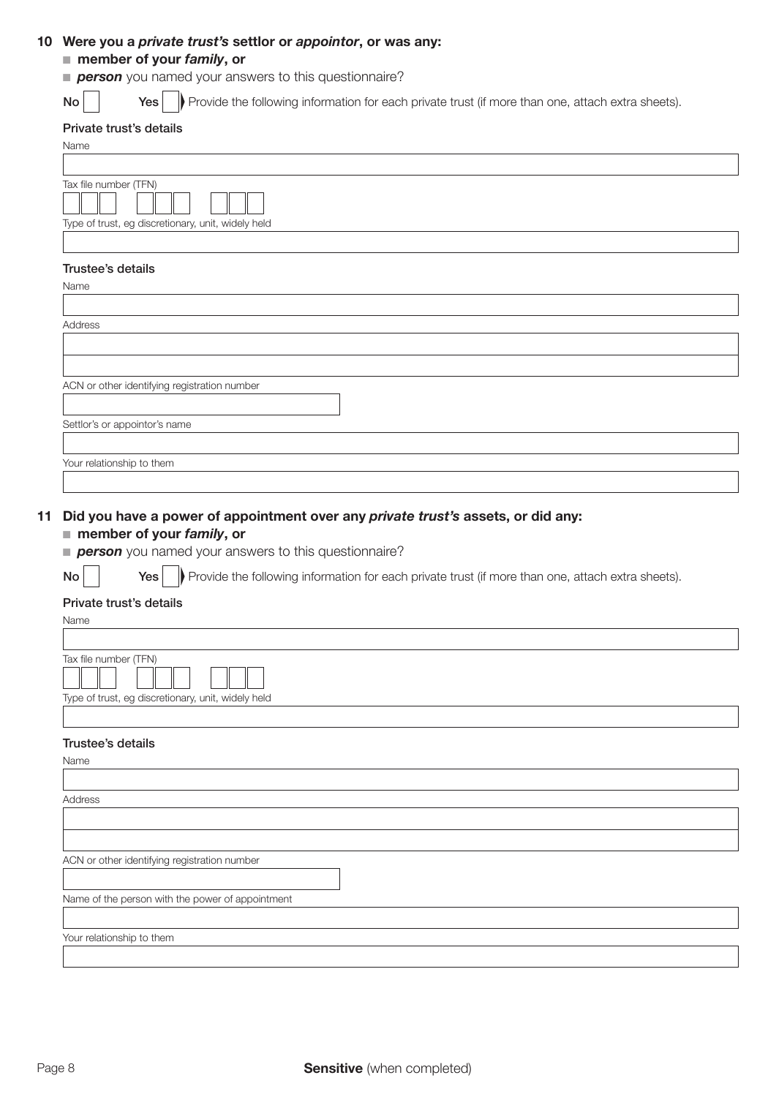#### 10 Were you a *private trust's* settlor or *appointor*, or was any:

#### ■ member of your *family*, or

- **person** you named your answers to this questionnaire?
- 

 $\mathsf{No}$   $\vert$   $\vert$   $\mathsf{Yes} \vert$  Provide the following information for each private trust (if more than one, attach extra sheets).

#### Private trust's details

| <b>THINGIL HUSLS UCTAINS</b>                       |
|----------------------------------------------------|
| Name                                               |
|                                                    |
| Tax file number (TFN)                              |
|                                                    |
| Type of trust, eg discretionary, unit, widely held |
|                                                    |
| Trustee's details                                  |
| Name                                               |
|                                                    |
| Address                                            |
|                                                    |
|                                                    |
|                                                    |

|  |  | ACN or other identifying registration number |  |
|--|--|----------------------------------------------|--|
|  |  |                                              |  |

Settlor's or appointor's name

Your relationship to them

#### 11 Did you have a power of appointment over any *private trust's* assets, or did any:

#### ■ member of your *family*, or

**person** you named your answers to this questionnaire?

 $\mathsf{No}$  |  $\mathsf{Yes}$  |  $\mathsf{Provide}$  the following information for each private trust (if more than one, attach extra sheets).

#### Private trust's details

| Name                                               |
|----------------------------------------------------|
|                                                    |
| Tax file number (TFN)                              |
| Type of trust, eg discretionary, unit, widely held |
|                                                    |
| Trustee's details                                  |
| Name                                               |
|                                                    |
| Address                                            |
|                                                    |
|                                                    |
| ACN or other identifying registration number       |
|                                                    |
| Name of the person with the power of appointment   |
|                                                    |
| Your relationship to them                          |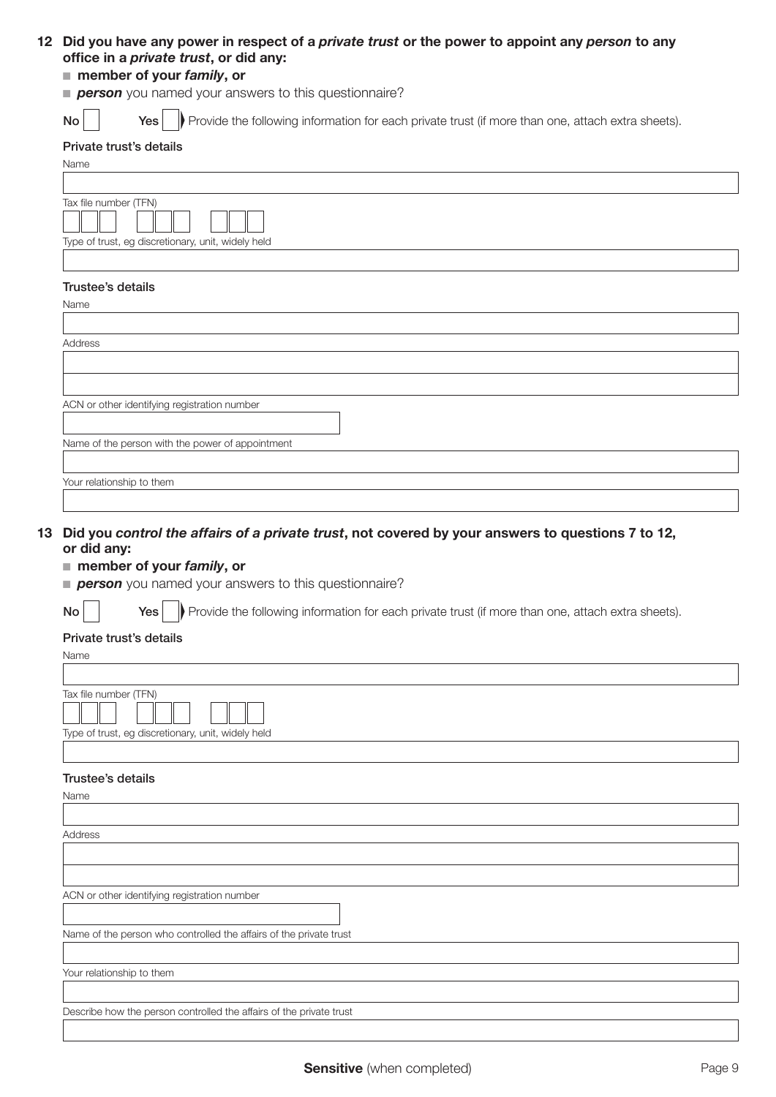### 12 Did you have any power in respect of a *private trust* or the power to appoint any *person* to any office in a *private trust*, or did any:

#### ■ member of your *family*, or

**person** you named your answers to this questionnaire?

 $\mathsf{No}$  |  $\mathsf{Yes}$  | Provide the following information for each private trust (if more than one, attach extra sheets).

#### Private trust's details

| . a.o o.o ao.a.io                                                           |
|-----------------------------------------------------------------------------|
| Name                                                                        |
|                                                                             |
| Tax file number (TFN)<br>Type of trust, eg discretionary, unit, widely held |
|                                                                             |
| Trustee's details                                                           |
| Name                                                                        |
|                                                                             |
| Address                                                                     |
|                                                                             |
|                                                                             |
| ACN or other identifying registration number                                |
|                                                                             |
| Name of the person with the power of appointment                            |
|                                                                             |
|                                                                             |

13 Did you *control the affairs of a private trust*, not covered by your answers to questions 7 to 12,

#### or did any:

Your relationship to them

#### ■ member of your *family*, or

**person** you named your answers to this questionnaire?

 $\mathsf{No}$  |  $\mathsf{Yes}$  |  $\mathsf{Provide}$  the following information for each private trust (if more than one, attach extra sheets).

#### Private trust's details

| Name                                               |
|----------------------------------------------------|
|                                                    |
| Tax file number (TFN)                              |
|                                                    |
| Type of trust, eg discretionary, unit, widely held |
|                                                    |

#### Trustee's details

| Name                                                                |
|---------------------------------------------------------------------|
|                                                                     |
| Address                                                             |
|                                                                     |
|                                                                     |
| ACN or other identifying registration number                        |
| Name of the person who controlled the affairs of the private trust  |
|                                                                     |
| Your relationship to them                                           |
|                                                                     |
| Describe how the person controlled the affairs of the private trust |
|                                                                     |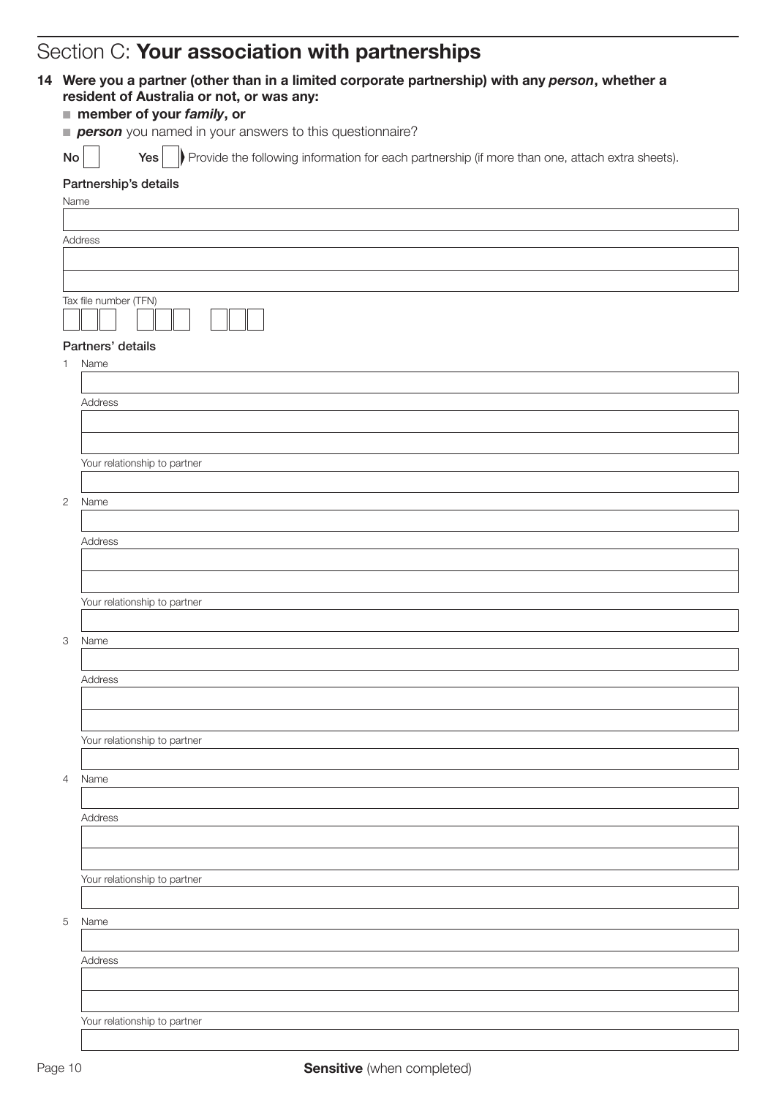# Section C: Your association with partnerships

|              | person you named in your answers to this questionnaire?                                                |
|--------------|--------------------------------------------------------------------------------------------------------|
| No           | Provide the following information for each partnership (if more than one, attach extra sheets).<br>Yes |
|              | Partnership's details                                                                                  |
| Name         |                                                                                                        |
|              |                                                                                                        |
|              | Address                                                                                                |
|              |                                                                                                        |
|              |                                                                                                        |
|              | Tax file number (TFN)                                                                                  |
|              |                                                                                                        |
|              | Partners' details                                                                                      |
| 1.           | Name                                                                                                   |
|              |                                                                                                        |
|              | Address                                                                                                |
|              |                                                                                                        |
|              |                                                                                                        |
|              | Your relationship to partner                                                                           |
| $\mathbf{2}$ | Name                                                                                                   |
|              |                                                                                                        |
|              | Address                                                                                                |
|              |                                                                                                        |
|              |                                                                                                        |
|              | Your relationship to partner                                                                           |
|              |                                                                                                        |
| З            | Name                                                                                                   |
|              |                                                                                                        |
|              | Address                                                                                                |
|              |                                                                                                        |
|              |                                                                                                        |
|              | Your relationship to partner                                                                           |
|              |                                                                                                        |
| 4            | Name                                                                                                   |
|              |                                                                                                        |
|              | Address                                                                                                |
|              |                                                                                                        |
|              |                                                                                                        |
|              | Your relationship to partner                                                                           |
|              |                                                                                                        |
| 5            | Name                                                                                                   |
|              |                                                                                                        |
|              | Address                                                                                                |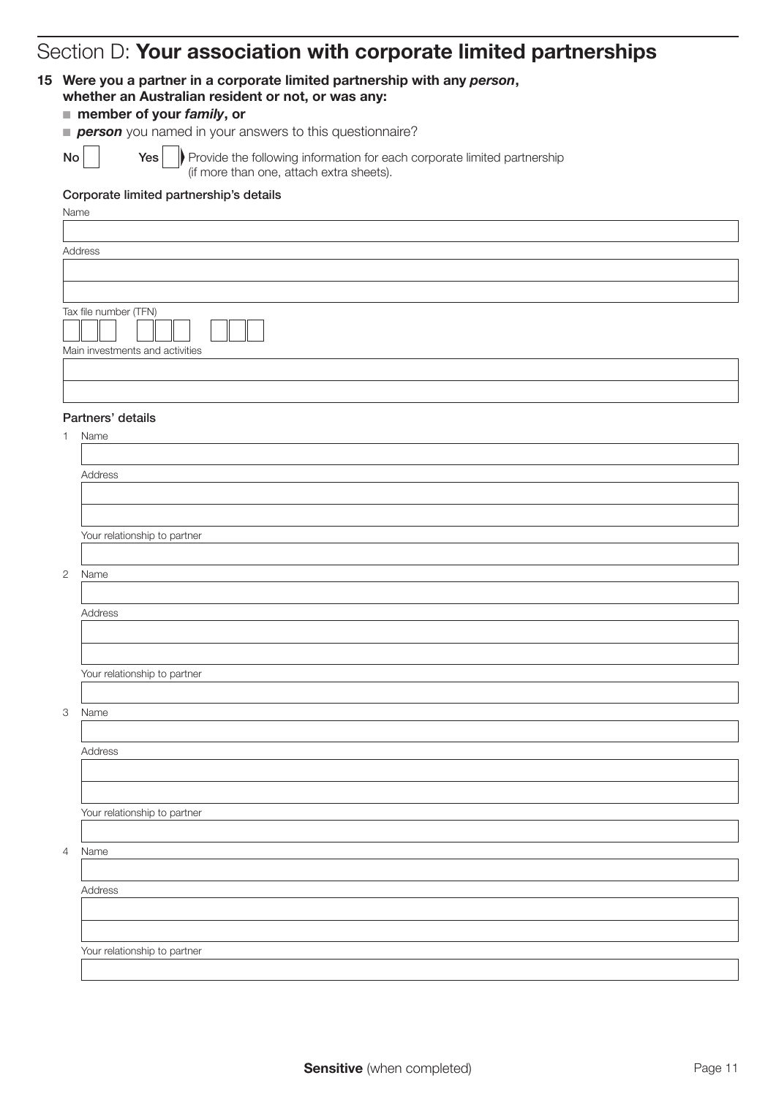# Section D: Your association with corporate limited partnerships

#### 15 Were you a partner in a corporate limited partnership with any *person*, whether an Australian resident or not, or was any:

## ■ member of your *family*, or

|  |  |  |  | person you named in your answers to this questionnaire? |  |
|--|--|--|--|---------------------------------------------------------|--|
|  |  |  |  |                                                         |  |

Name

Yes

 $\mathsf{No}$  |  $\mathsf{Yes}$  | Provide the following information for each corporate limited partnership (if more than one, attach extra sheets).

#### Corporate limited partnership's details

| <b>Address</b>        |  |
|-----------------------|--|
|                       |  |
|                       |  |
|                       |  |
| Tax file number (TFN) |  |
|                       |  |

#### Partners' details

Main investments and activities

| Name |  |
|------|--|
|------|--|

2

3

4

| Address                      |  |
|------------------------------|--|
|                              |  |
|                              |  |
| Your relationship to partner |  |
|                              |  |
| Name                         |  |
|                              |  |
| Address                      |  |
|                              |  |
|                              |  |
| Your relationship to partner |  |
|                              |  |
| Name                         |  |
|                              |  |
| Address                      |  |
|                              |  |
|                              |  |
| Your relationship to partner |  |
|                              |  |
| Name                         |  |
|                              |  |
| Address                      |  |
|                              |  |
|                              |  |
| Your relationship to partner |  |
|                              |  |
|                              |  |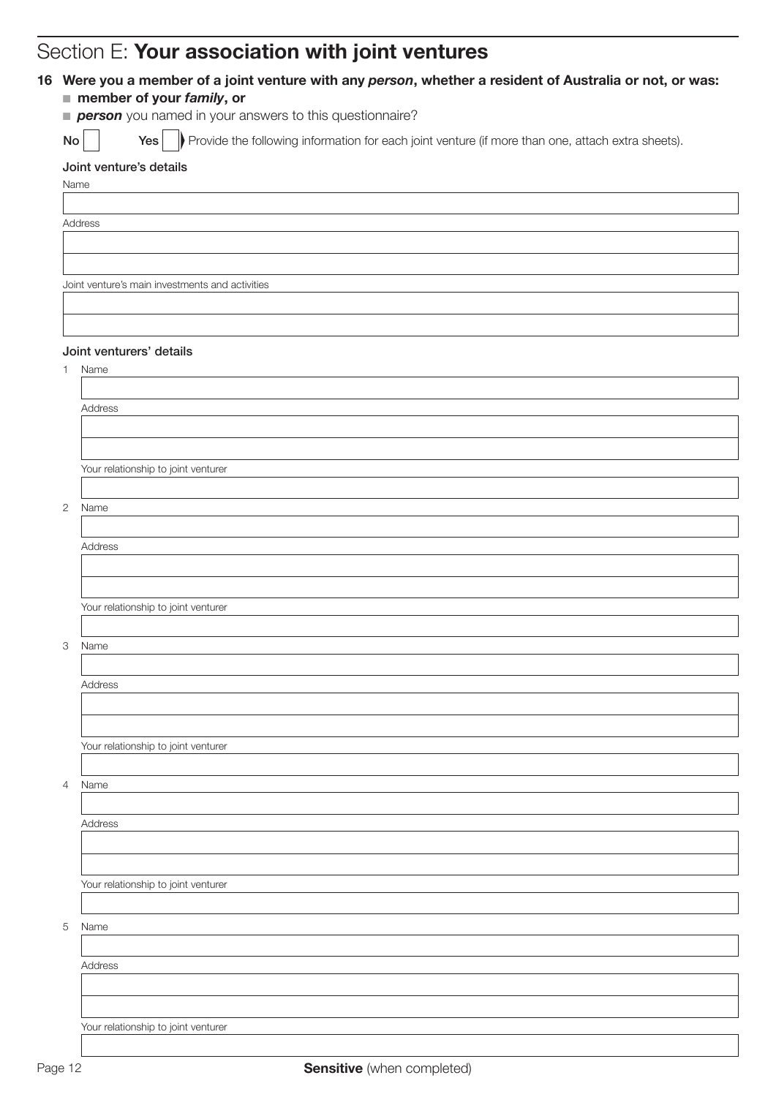# Section F: Your association with joint ventures

|    | person you named in your answers to this questionnaire?                                                  |
|----|----------------------------------------------------------------------------------------------------------|
| No | Provide the following information for each joint venture (if more than one, attach extra sheets).<br>Yes |
|    | Joint venture's details                                                                                  |
|    | Name                                                                                                     |
|    |                                                                                                          |
|    | Address                                                                                                  |
|    |                                                                                                          |
|    |                                                                                                          |
|    | Joint venture's main investments and activities                                                          |
|    |                                                                                                          |
|    |                                                                                                          |
|    |                                                                                                          |
|    | Joint venturers' details                                                                                 |
|    | Name                                                                                                     |
|    |                                                                                                          |
|    | Address                                                                                                  |
|    |                                                                                                          |
|    |                                                                                                          |
|    | Your relationship to joint venturer                                                                      |
|    |                                                                                                          |
|    | Name                                                                                                     |
|    |                                                                                                          |
|    | Address                                                                                                  |
|    |                                                                                                          |
|    |                                                                                                          |
|    | Your relationship to joint venturer                                                                      |
|    |                                                                                                          |
|    | Name                                                                                                     |
|    |                                                                                                          |
|    | Address                                                                                                  |
|    |                                                                                                          |
|    |                                                                                                          |
|    | Your relationship to joint venturer                                                                      |
|    |                                                                                                          |
|    | Name                                                                                                     |
|    |                                                                                                          |
|    | Address                                                                                                  |
|    |                                                                                                          |
|    |                                                                                                          |
|    | Your relationship to joint venturer                                                                      |
|    |                                                                                                          |
|    | Name                                                                                                     |
|    |                                                                                                          |
|    |                                                                                                          |

Your relationship to joint venturer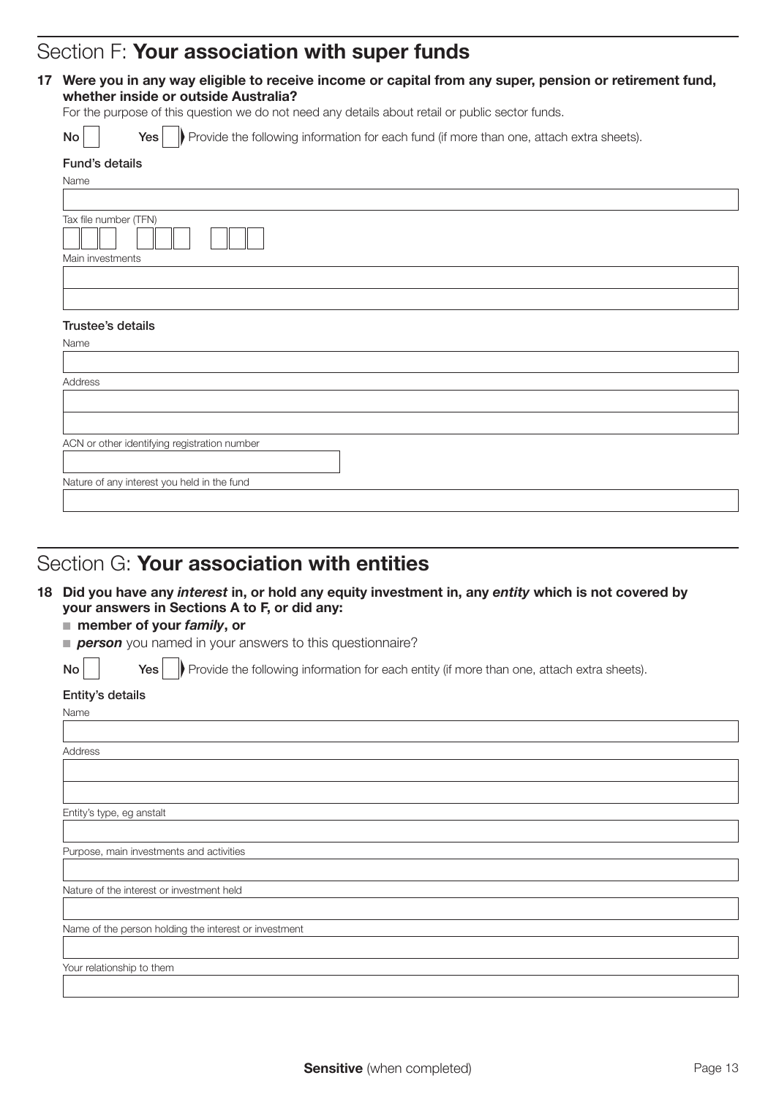# Section F: Your association with super funds

#### 17 Were you in any way eligible to receive income or capital from any super, pension or retirement fund, whether inside or outside Australia?

For the purpose of this question we do not need any details about retail or public sector funds.

| Provide the following information for each fund (if more than one, attach extra sheets).<br>Yes<br>No |
|-------------------------------------------------------------------------------------------------------|
| Fund's details                                                                                        |
| Name                                                                                                  |
|                                                                                                       |
| Tax file number (TFN)                                                                                 |
| Main investments                                                                                      |
|                                                                                                       |
|                                                                                                       |
| Trustee's details                                                                                     |
| Name                                                                                                  |
|                                                                                                       |
| Address                                                                                               |
|                                                                                                       |
|                                                                                                       |
| ACN or other identifying registration number                                                          |
|                                                                                                       |
| Nature of any interest you held in the fund                                                           |
|                                                                                                       |

# Section G: Your association with entities

18 Did you have any *interest* in, or hold any equity investment in, any *entity* which is not covered by your answers in Sections A to F, or did any:

#### ■ member of your *family*, or

**person** you named in your answers to this questionnaire?

 $\mathsf{No}$   $\vert$   $\vert$   $\mathsf{Yes} \vert$   $\vert$  Provide the following information for each entity (if more than one, attach extra sheets).

#### Entity's details

| Name                                                  |
|-------------------------------------------------------|
|                                                       |
| Address                                               |
|                                                       |
|                                                       |
| Entity's type, eg anstalt                             |
|                                                       |
| Purpose, main investments and activities              |
|                                                       |
| Nature of the interest or investment held             |
|                                                       |
| Name of the person holding the interest or investment |
|                                                       |
| Your relationship to them                             |
|                                                       |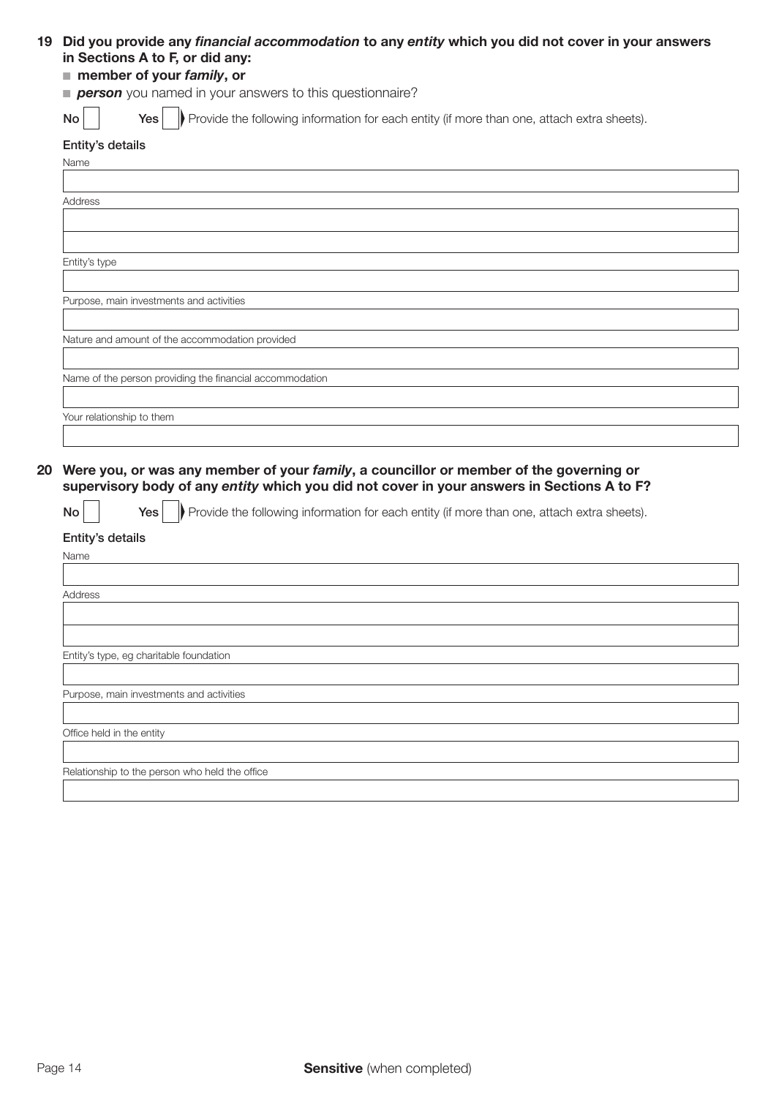#### 19 Did you provide any financial accommodation to any *entity* which you did not cover in your answers in Sections A to F, or did any:

### ■ member of your *family*, or

**person** you named in your answers to this questionnaire?

 $N \circ \Box$  Yes Provide the following information for each entity (if more than one, attach extra sheets).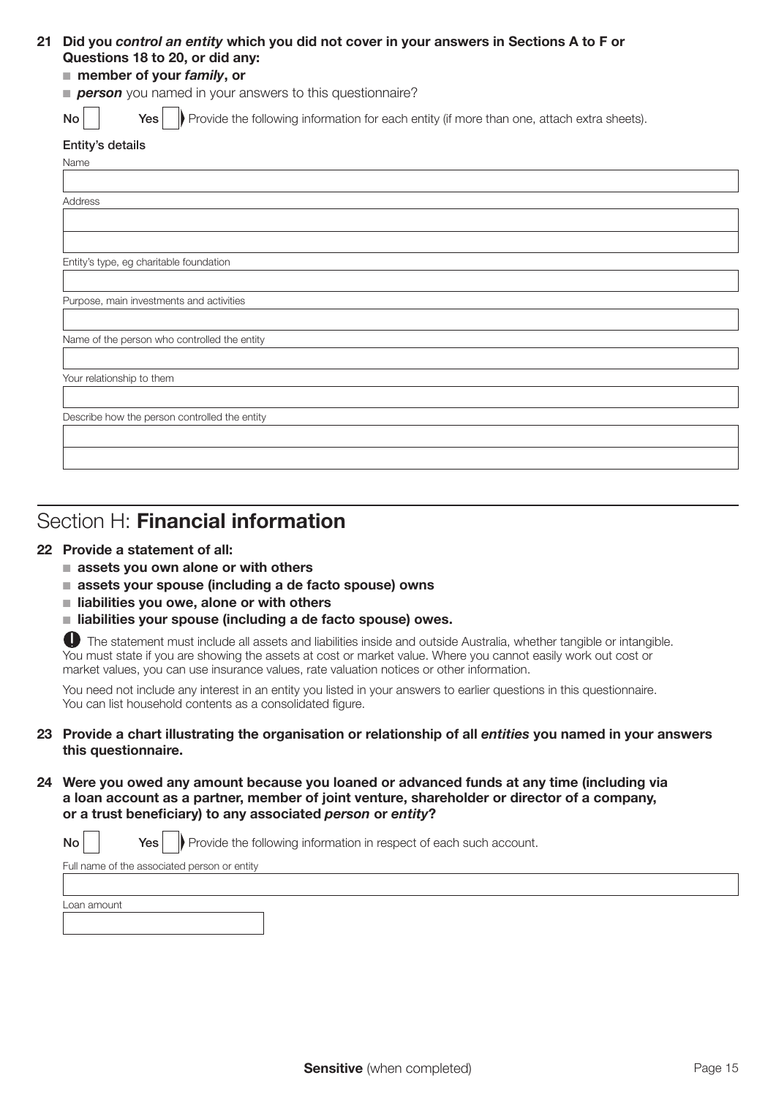#### 21 Did you *control an entity* which you did not cover in your answers in Sections A to F or Questions 18 to 20, or did any:

#### ■ member of your *family*, or

**person** you named in your answers to this questionnaire?

No **Yes** Provide the following information for each entity (if more than one, attach extra sheets).

| Entity's details |  |
|------------------|--|
|------------------|--|

| Name                                          |
|-----------------------------------------------|
|                                               |
| Address                                       |
|                                               |
|                                               |
| Entity's type, eg charitable foundation       |
|                                               |
| Purpose, main investments and activities      |
|                                               |
| Name of the person who controlled the entity  |
|                                               |
| Your relationship to them                     |
|                                               |
| Describe how the person controlled the entity |
|                                               |
|                                               |

# Section H: Financial information

#### 22 Provide a statement of all:

- $\blacksquare$  assets you own alone or with others
- $\blacksquare$  assets your spouse (including a de facto spouse) owns
- $\blacksquare$  liabilities you owe, alone or with others
- $\blacksquare$  liabilities your spouse (including a de facto spouse) owes.

The statement must include all assets and liabilities inside and outside Australia, whether tangible or intangible. You must state if you are showing the assets at cost or market value. Where you cannot easily work out cost or market values, you can use insurance values, rate valuation notices or other information.

You need not include any interest in an entity you listed in your answers to earlier questions in this questionnaire. You can list household contents as a consolidated figure.

- 23 Provide a chart illustrating the organisation or relationship of all *entities* you named in your answers this questionnaire.
- 24 Were you owed any amount because you loaned or advanced funds at any time (including via a loan account as a partner, member of joint venture, shareholder or director of a company, or a trust beneficiary) to any associated *person* or *entity*?

No **Yes** Provide the following information in respect of each such account. Full name of the associated person or entity

Loan amount